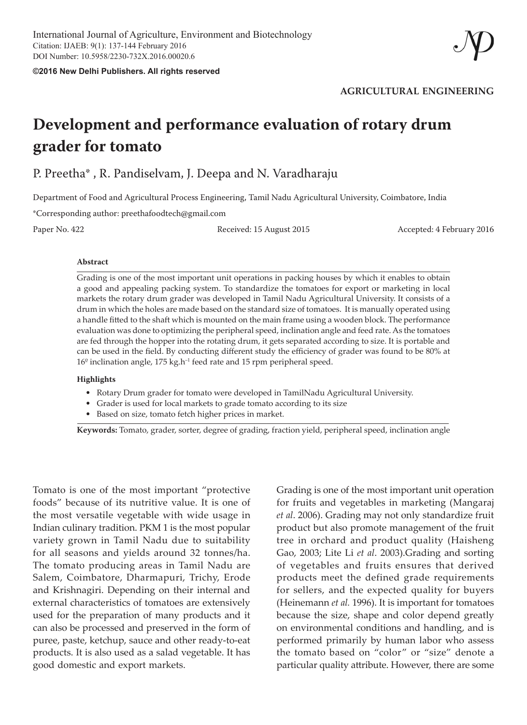**©2016 New Delhi Publishers. All rights reserved**

**AGRICULTURAL ENGINEERING**

# **Development and performance evaluation of rotary drum grader for tomato**

P. Preetha\* , R. Pandiselvam, J. Deepa and N. Varadharaju

Department of Food and Agricultural Process Engineering, Tamil Nadu Agricultural University, Coimbatore, India

\*Corresponding author: preethafoodtech@gmail.com

Paper No. 422 Received: 15 August 2015 Accepted: 4 February 2016

#### **Abstract**

Grading is one of the most important unit operations in packing houses by which it enables to obtain a good and appealing packing system. To standardize the tomatoes for export or marketing in local markets the rotary drum grader was developed in Tamil Nadu Agricultural University. It consists of a drum in which the holes are made based on the standard size of tomatoes. It is manually operated using a handle fitted to the shaft which is mounted on the main frame using a wooden block. The performance evaluation was done to optimizing the peripheral speed, inclination angle and feed rate. As the tomatoes are fed through the hopper into the rotating drum, it gets separated according to size. It is portable and can be used in the field. By conducting different study the efficiency of grader was found to be 80% at 16<sup>°</sup> inclination angle, 175 kg.h<sup>-1</sup> feed rate and 15 rpm peripheral speed.

#### **Highlights**

- Rotary Drum grader for tomato were developed in TamilNadu Agricultural University.
- Grader is used for local markets to grade tomato according to its size
- Based on size, tomato fetch higher prices in market.

**Keywords:** Tomato, grader, sorter, degree of grading, fraction yield, peripheral speed, inclination angle

Tomato is one of the most important "protective foods" because of its nutritive value. It is one of the most versatile vegetable with wide usage in Indian culinary tradition. PKM 1 is the most popular variety grown in Tamil Nadu due to suitability for all seasons and yields around 32 tonnes/ha. The tomato producing areas in Tamil Nadu are Salem, Coimbatore, Dharmapuri, Trichy, Erode and Krishnagiri. Depending on their internal and external characteristics of tomatoes are extensively used for the preparation of many products and it can also be processed and preserved in the form of puree, paste, ketchup, sauce and other ready-to-eat products. It is also used as a salad vegetable. It has good domestic and export markets.

Grading is one of the most important unit operation for fruits and vegetables in marketing (Mangaraj *et al*. 2006). Grading may not only standardize fruit product but also promote management of the fruit tree in orchard and product quality (Haisheng Gao, 2003; Lite Li *et al*. 2003).Grading and sorting of vegetables and fruits ensures that derived products meet the defined grade requirements for sellers, and the expected quality for buyers (Heinemann *et al.* 1996). It is important for tomatoes because the size, shape and color depend greatly on environmental conditions and handling, and is performed primarily by human labor who assess the tomato based on "color" or "size" denote a particular quality attribute. However, there are some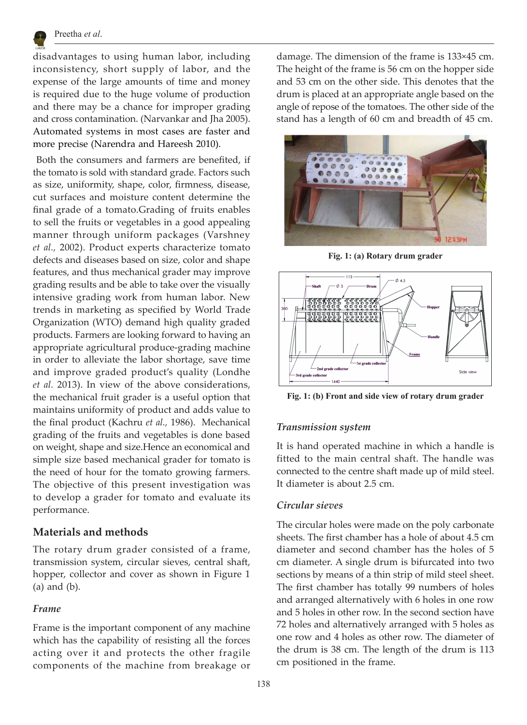

disadvantages to using human labor, including inconsistency, short supply of labor, and the expense of the large amounts of time and money is required due to the huge volume of production and there may be a chance for improper grading and cross contamination. (Narvankar and Jha 2005). Automated systems in most cases are faster and more precise (Narendra and Hareesh 2010).

 Both the consumers and farmers are benefited, if the tomato is sold with standard grade. Factors such as size, uniformity, shape, color, firmness, disease, cut surfaces and moisture content determine the final grade of a tomato.Grading of fruits enables to sell the fruits or vegetables in a good appealing manner through uniform packages (Varshney *et al.,* 2002). Product experts characterize tomato defects and diseases based on size, color and shape features, and thus mechanical grader may improve grading results and be able to take over the visually intensive grading work from human labor. New trends in marketing as specified by World Trade Organization (WTO) demand high quality graded products. Farmers are looking forward to having an appropriate agricultural produce-grading machine in order to alleviate the labor shortage, save time and improve graded product's quality (Londhe *et al.* 2013). In view of the above considerations, the mechanical fruit grader is a useful option that maintains uniformity of product and adds value to the final product (Kachru *et al.,* 1986). Mechanical grading of the fruits and vegetables is done based on weight, shape and size.Hence an economical and simple size based mechanical grader for tomato is the need of hour for the tomato growing farmers. The objective of this present investigation was to develop a grader for tomato and evaluate its performance.

# **Materials and methods**

The rotary drum grader consisted of a frame, transmission system, circular sieves, central shaft, hopper, collector and cover as shown in Figure 1 (a) and (b).

# *Frame*

Frame is the important component of any machine which has the capability of resisting all the forces acting over it and protects the other fragile components of the machine from breakage or damage. The dimension of the frame is 133×45 cm. The height of the frame is 56 cm on the hopper side and 53 cm on the other side. This denotes that the drum is placed at an appropriate angle based on the angle of repose of the tomatoes. The other side of the stand has a length of 60 cm and breadth of 45 cm.



**Fig. 1: (a) Rotary drum grader**



**Fig. 1: (b) Front and side view of rotary drum grader**

# *Transmission system*

It is hand operated machine in which a handle is fitted to the main central shaft. The handle was connected to the centre shaft made up of mild steel. It diameter is about 2.5 cm.

#### *Circular sieves*

The circular holes were made on the poly carbonate sheets. The first chamber has a hole of about 4.5 cm diameter and second chamber has the holes of 5 cm diameter. A single drum is bifurcated into two sections by means of a thin strip of mild steel sheet. The first chamber has totally 99 numbers of holes and arranged alternatively with 6 holes in one row and 5 holes in other row. In the second section have 72 holes and alternatively arranged with 5 holes as one row and 4 holes as other row. The diameter of the drum is 38 cm. The length of the drum is 113 cm positioned in the frame.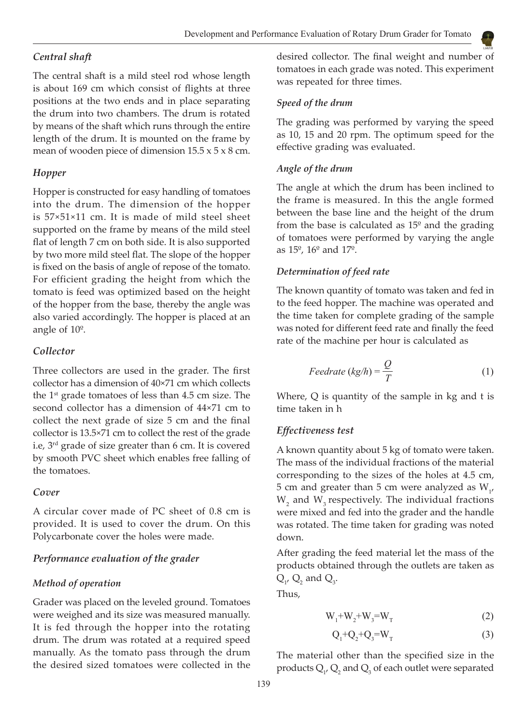## *Central shaft*

The central shaft is a mild steel rod whose length is about 169 cm which consist of flights at three positions at the two ends and in place separating the drum into two chambers. The drum is rotated by means of the shaft which runs through the entire length of the drum. It is mounted on the frame by mean of wooden piece of dimension  $15.5 \times 5 \times 8$  cm.

## *Hopper*

Hopper is constructed for easy handling of tomatoes into the drum. The dimension of the hopper is 57×51×11 cm. It is made of mild steel sheet supported on the frame by means of the mild steel flat of length 7 cm on both side. It is also supported by two more mild steel flat. The slope of the hopper is fixed on the basis of angle of repose of the tomato. For efficient grading the height from which the tomato is feed was optimized based on the height of the hopper from the base, thereby the angle was also varied accordingly. The hopper is placed at an angle of 10º.

## *Collector*

Three collectors are used in the grader. The first collector has a dimension of 40×71 cm which collects the  $1<sup>st</sup>$  grade tomatoes of less than 4.5 cm size. The second collector has a dimension of 44×71 cm to collect the next grade of size 5 cm and the final collector is 13.5×71 cm to collect the rest of the grade i.e, 3rd grade of size greater than 6 cm. It is covered by smooth PVC sheet which enables free falling of the tomatoes.

#### *Cover*

A circular cover made of PC sheet of 0.8 cm is provided. It is used to cover the drum. On this Polycarbonate cover the holes were made.

## *Performance evaluation of the grader*

#### *Method of operation*

Grader was placed on the leveled ground. Tomatoes were weighed and its size was measured manually. It is fed through the hopper into the rotating drum. The drum was rotated at a required speed manually. As the tomato pass through the drum the desired sized tomatoes were collected in the

desired collector. The final weight and number of tomatoes in each grade was noted. This experiment was repeated for three times.

## *Speed of the drum*

The grading was performed by varying the speed as 10, 15 and 20 rpm. The optimum speed for the effective grading was evaluated.

## *Angle of the drum*

The angle at which the drum has been inclined to the frame is measured. In this the angle formed between the base line and the height of the drum from the base is calculated as  $15^{\circ}$  and the grading of tomatoes were performed by varying the angle as 15º, 16º and 17º.

#### *Determination of feed rate*

The known quantity of tomato was taken and fed in to the feed hopper. The machine was operated and the time taken for complete grading of the sample was noted for different feed rate and finally the feed rate of the machine per hour is calculated as

$$
Feedrate (kg/h) = \frac{Q}{T}
$$
 (1)

Where,  $Q$  is quantity of the sample in  $kg$  and  $t$  is time taken in h

#### *Effectiveness test*

A known quantity about 5 kg of tomato were taken. The mass of the individual fractions of the material corresponding to the sizes of the holes at 4.5 cm, 5 cm and greater than 5 cm were analyzed as  $W_{1'}$  $W_2$  and  $W_3$  respectively. The individual fractions were mixed and fed into the grader and the handle was rotated. The time taken for grading was noted down.

After grading the feed material let the mass of the products obtained through the outlets are taken as  $Q_{1'} Q_2$  and  $Q_{3'}$ .

Thus,

$$
W_1 + W_2 + W_3 = W_T
$$
 (2)

$$
Q_1 + Q_2 + Q_3 = W_T \tag{3}
$$

The material other than the specified size in the products  $Q_{1'}Q_{2}$  and  $Q_{3}$  of each outlet were separated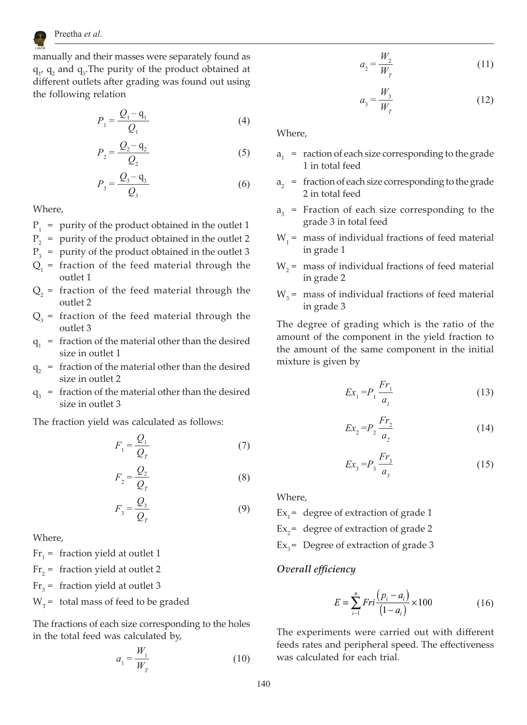

manually and their masses were separately found as  $q_1$ ,  $q_2$  and  $q_3$ . The purity of the product obtained at different outlets after grading was found out using the following relation

$$
P_1 = \frac{Q_1 - q_1}{Q_1} \tag{4}
$$

$$
P_2 = \frac{Q_2 - \mathbf{q}_2}{Q_2} \tag{5}
$$

$$
P_3 = \frac{Q_3 - \mathbf{q}_3}{Q_3} \tag{6}
$$

Where,

- $P_1$  = purity of the product obtained in the outlet 1
- $P<sub>2</sub>$  = purity of the product obtained in the outlet 2
- $P_3$  = purity of the product obtained in the outlet 3
- $Q_1$  = fraction of the feed material through the outlet 1
- $Q_2$  = fraction of the feed material through the outlet 2
- $Q_3$  = fraction of the feed material through the outlet 3
- $q_1$  = fraction of the material other than the desired size in outlet 1
- $q<sub>2</sub>$  = fraction of the material other than the desired size in outlet 2
- $q_3$  = fraction of the material other than the desired size in outlet 3

The fraction yield was calculated as follows:

$$
F_1 = \frac{Q_1}{Q_T} \tag{7}
$$

$$
F_2 = \frac{Q_2}{Q_T} \tag{8}
$$

$$
F_3 = \frac{Q_3}{Q_T} \tag{9}
$$

Where,

 $Fr_1$  = fraction yield at outlet 1

- Fr<sub>2</sub> = fraction yield at outlet 2
- $Fr<sub>3</sub>$  = fraction yield at outlet 3

 $W_\tau$  = total mass of feed to be graded

The fractions of each size corresponding to the holes in the total feed was calculated by,

$$
a_1 = \frac{W_1}{W_T} \tag{10}
$$

$$
a_2 = \frac{W_2}{W_T} \tag{11}
$$

$$
a_3 = \frac{W_3}{W_T} \tag{12}
$$

Where,

- $a_1$  = raction of each size corresponding to the grade 1 in total feed
- $a<sub>2</sub>$  = fraction of each size corresponding to the grade 2 in total feed
- $a_3$  = Fraction of each size corresponding to the grade 3 in total feed
- $W_1$  = mass of individual fractions of feed material in grade 1
- $W<sub>2</sub>$  = mass of individual fractions of feed material in grade 2
- $W<sub>3</sub>$  = mass of individual fractions of feed material in grade 3

The degree of grading which is the ratio of the amount of the component in the yield fraction to the amount of the same component in the initial mixture is given by

$$
Ex_{1} = P_{1} \frac{Fr_{1}}{a_{1}}
$$
 (13)

$$
Ex_2 = P_2 \frac{Fr_2}{a_2} \tag{14}
$$

$$
Ex_{3} = P_{3} \frac{Fr_{3}}{a_{3}}
$$
 (15)

Where,

 $Ex<sub>1</sub> = degree of extraction of grade 1$ 

 $Ex_{2}$  = degree of extraction of grade 2

 $Ex_{2}$  = Degree of extraction of grade 3

#### *Overall efficiency*

$$
E = \sum_{i=1}^{n} Fri \frac{(p_i - a_i)}{(1 - a_i)} \times 100
$$
 (16)

The experiments were carried out with different feeds rates and peripheral speed. The effectiveness was calculated for each trial.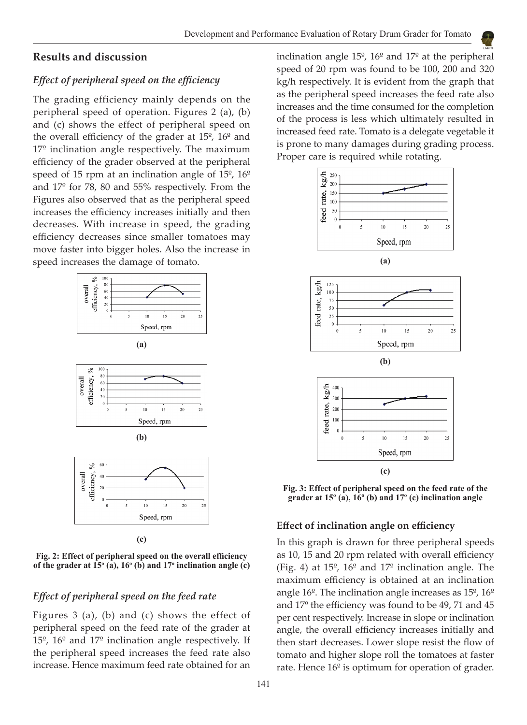# **Results and discussion**

## *Effect of peripheral speed on the efficiency*

The grading efficiency mainly depends on the peripheral speed of operation. Figures 2 (a), (b) and (c) shows the effect of peripheral speed on the overall efficiency of the grader at  $15^{\circ}$ ,  $16^{\circ}$  and  $17<sup>°</sup>$  inclination angle respectively. The maximum efficiency of the grader observed at the peripheral speed of 15 rpm at an inclination angle of 15º, 16º and 17º for 78, 80 and 55% respectively. From the Figures also observed that as the peripheral speed increases the efficiency increases initially and then decreases. With increase in speed, the grading efficiency decreases since smaller tomatoes may move faster into bigger holes. Also the increase in speed increases the damage of tomato.



**Fig. 2: Effect of peripheral speed on the overall efficiency**  of the grader at  $15^{\circ}$  (a),  $16^{\circ}$  (b) and  $17^{\circ}$  inclination angle (c)

## *Effect of peripheral speed on the feed rate*

Figures 3 (a), (b) and (c) shows the effect of peripheral speed on the feed rate of the grader at 15º, 16º and 17º inclination angle respectively. If the peripheral speed increases the feed rate also increase. Hence maximum feed rate obtained for an

inclination angle 15º, 16º and 17º at the peripheral speed of 20 rpm was found to be 100, 200 and 320 kg/h respectively. It is evident from the graph that as the peripheral speed increases the feed rate also increases and the time consumed for the completion of the process is less which ultimately resulted in increased feed rate. Tomato is a delegate vegetable it is prone to many damages during grading process. Proper care is required while rotating.



**Fig. 3: Effect of peripheral speed on the feed rate of the grader at 15º (a), 16º (b) and 17º (c) inclination angle**

#### **Effect of inclination angle on efficiency**

In this graph is drawn for three peripheral speeds as 10, 15 and 20 rpm related with overall efficiency (Fig. 4) at  $15^{\circ}$ ,  $16^{\circ}$  and  $17^{\circ}$  inclination angle. The maximum efficiency is obtained at an inclination angle 16º. The inclination angle increases as 15º, 16º and 17º the efficiency was found to be 49, 71 and 45 per cent respectively. Increase in slope or inclination angle, the overall efficiency increases initially and then start decreases. Lower slope resist the flow of tomato and higher slope roll the tomatoes at faster rate. Hence 16º is optimum for operation of grader.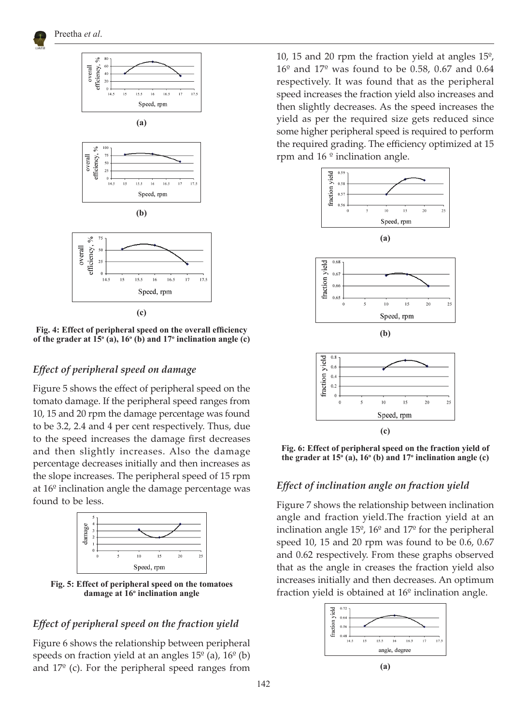



**(c)**

**Fig. 4: Effect of peripheral speed on the overall efficiency**  of the grader at  $15^{\circ}$  (a),  $16^{\circ}$  (b) and  $17^{\circ}$  inclination angle (c)

# *Effect of peripheral speed on damage*

Figure 5 shows the effect of peripheral speed on the tomato damage. If the peripheral speed ranges from 10, 15 and 20 rpm the damage percentage was found to be 3.2, 2.4 and 4 per cent respectively. Thus, due to the speed increases the damage first decreases and then slightly increases. Also the damage percentage decreases initially and then increases as the slope increases. The peripheral speed of 15 rpm at 16º inclination angle the damage percentage was found to be less.



**Fig. 5: Effect of peripheral speed on the tomatoes**  damage at 16<sup>°</sup> inclination angle

# *Effect of peripheral speed on the fraction yield*

Figure 6 shows the relationship between peripheral speeds on fraction yield at an angles  $15^{\circ}$  (a),  $16^{\circ}$  (b) and  $17^{\circ}$  (c). For the peripheral speed ranges from

10, 15 and 20 rpm the fraction yield at angles 15º,  $16^{\circ}$  and  $17^{\circ}$  was found to be 0.58, 0.67 and 0.64 respectively. It was found that as the peripheral speed increases the fraction yield also increases and then slightly decreases. As the speed increases the yield as per the required size gets reduced since some higher peripheral speed is required to perform the required grading. The efficiency optimized at 15 rpm and  $16<sup>°</sup>$  inclination angle.



**Fig. 6: Effect of peripheral speed on the fraction yield of the grader at 15o (a), 16o (b) and 17o inclination angle (c)**

#### *Effect of inclination angle on fraction yield*

Figure 7 shows the relationship between inclination angle and fraction yield.The fraction yield at an inclination angle  $15^{\circ}$ ,  $16^{\circ}$  and  $17^{\circ}$  for the peripheral speed 10, 15 and 20 rpm was found to be 0.6, 0.67 and 0.62 respectively. From these graphs observed that as the angle in creases the fraction yield also increases initially and then decreases. An optimum fraction yield is obtained at 16º inclination angle.

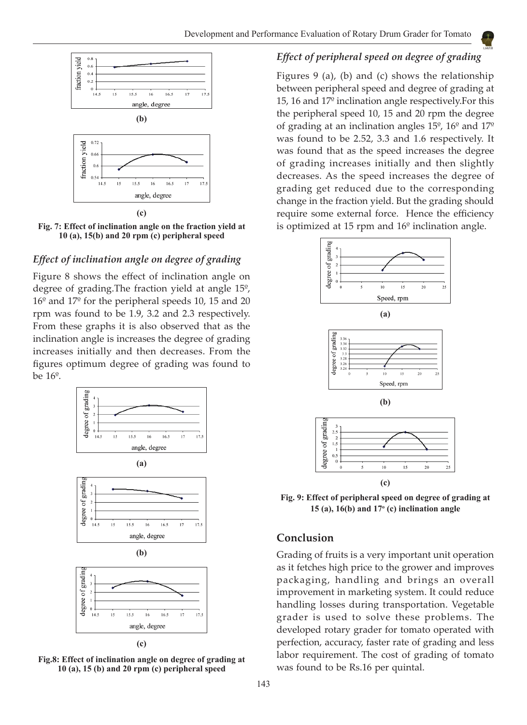

**Fig. 7: Effect of inclination angle on the fraction yield at 10 (a), 15(b) and 20 rpm (c) peripheral speed**

# *Effect of inclination angle on degree of grading*

Figure 8 shows the effect of inclination angle on degree of grading.The fraction yield at angle 15º, 16º and 17º for the peripheral speeds 10, 15 and 20 rpm was found to be 1.9, 3.2 and 2.3 respectively. From these graphs it is also observed that as the inclination angle is increases the degree of grading increases initially and then decreases. From the figures optimum degree of grading was found to be 16º.



**Fig.8: Effect of inclination angle on degree of grading at 10 (a), 15 (b) and 20 rpm (c) peripheral speed**

# *Effect of peripheral speed on degree of grading*

Figures 9 (a), (b) and (c) shows the relationship between peripheral speed and degree of grading at 15, 16 and 17º inclination angle respectively.For this the peripheral speed 10, 15 and 20 rpm the degree of grading at an inclination angles 15º, 16º and 17º was found to be 2.52, 3.3 and 1.6 respectively. It was found that as the speed increases the degree of grading increases initially and then slightly decreases. As the speed increases the degree of grading get reduced due to the corresponding change in the fraction yield. But the grading should require some external force. Hence the efficiency is optimized at 15 rpm and 16º inclination angle.



**Fig. 9: Effect of peripheral speed on degree of grading at 15 (a), 16(b) and 17o (c) inclination angle**

# **Conclusion**

Grading of fruits is a very important unit operation as it fetches high price to the grower and improves packaging, handling and brings an overall improvement in marketing system. It could reduce handling losses during transportation. Vegetable grader is used to solve these problems. The developed rotary grader for tomato operated with perfection, accuracy, faster rate of grading and less labor requirement. The cost of grading of tomato was found to be Rs.16 per quintal.